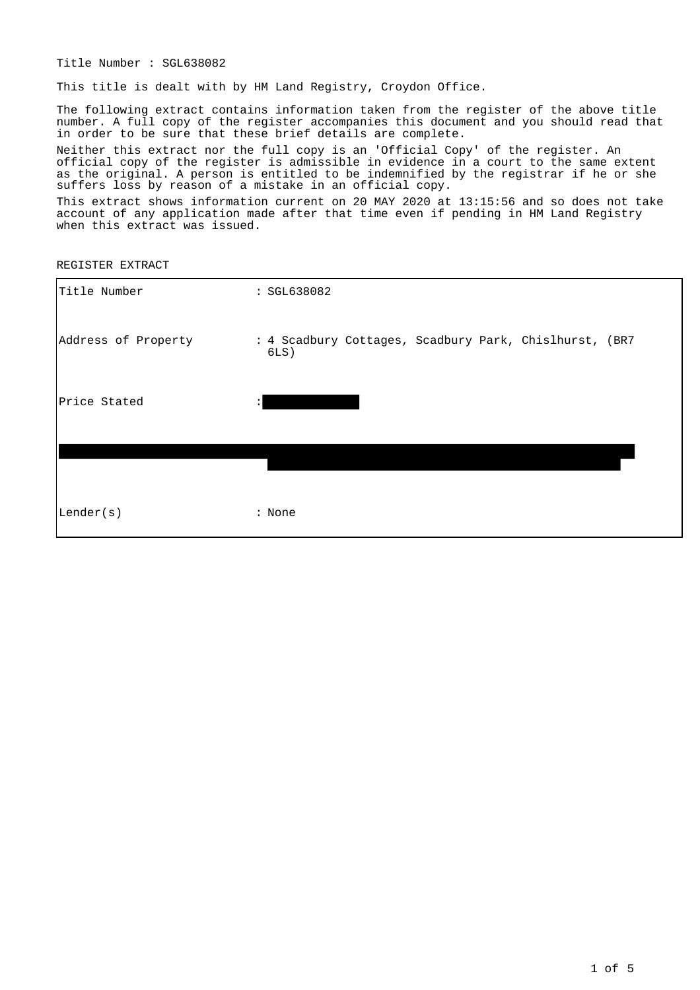Title Number : SGL638082

This title is dealt with by HM Land Registry, Croydon Office.

The following extract contains information taken from the register of the above title number. A full copy of the register accompanies this document and you should read that in order to be sure that these brief details are complete.

Neither this extract nor the full copy is an 'Official Copy' of the register. An official copy of the register is admissible in evidence in a court to the same extent as the original. A person is entitled to be indemnified by the registrar if he or she suffers loss by reason of a mistake in an official copy.

This extract shows information current on 20 MAY 2020 at 13:15:56 and so does not take account of any application made after that time even if pending in HM Land Registry when this extract was issued.

REGISTER EXTRACT

| Title Number        | : SGL638082                                                       |
|---------------------|-------------------------------------------------------------------|
| Address of Property | : 4 Scadbury Cottages, Scadbury Park, Chislhurst, (BR7<br>$6LS$ ) |
| Price Stated        | $\ddot{\cdot}$                                                    |
|                     |                                                                   |
| Lender(s)           | : None                                                            |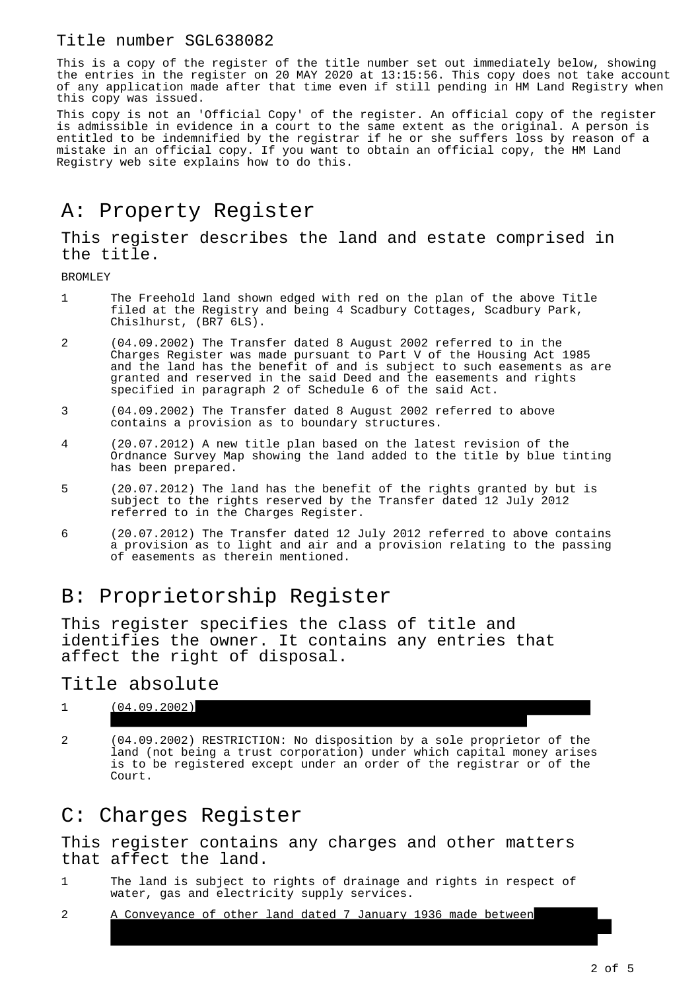## Title number SGL638082

This is a copy of the register of the title number set out immediately below, showing the entries in the register on 20 MAY 2020 at 13:15:56. This copy does not take account of any application made after that time even if still pending in HM Land Registry when this copy was issued.

This copy is not an 'Official Copy' of the register. An official copy of the register is admissible in evidence in a court to the same extent as the original. A person is entitled to be indemnified by the registrar if he or she suffers loss by reason of a mistake in an official copy. If you want to obtain an official copy, the HM Land Registry web site explains how to do this.

# A: Property Register

This register describes the land and estate comprised in the title.

BROMLEY

- 1 The Freehold land shown edged with red on the plan of the above Title filed at the Registry and being 4 Scadbury Cottages, Scadbury Park, Chislhurst, (BR7 6LS).
- 2 (04.09.2002) The Transfer dated 8 August 2002 referred to in the Charges Register was made pursuant to Part V of the Housing Act 1985 and the land has the benefit of and is subject to such easements as are granted and reserved in the said Deed and the easements and rights specified in paragraph 2 of Schedule 6 of the said Act.
- 3 (04.09.2002) The Transfer dated 8 August 2002 referred to above contains a provision as to boundary structures.
- 4 (20.07.2012) A new title plan based on the latest revision of the Ordnance Survey Map showing the land added to the title by blue tinting has been prepared.
- 5 (20.07.2012) The land has the benefit of the rights granted by but is subject to the rights reserved by the Transfer dated 12 July 2012 referred to in the Charges Register.
- 6 (20.07.2012) The Transfer dated 12 July 2012 referred to above contains a provision as to light and air and a provision relating to the passing of easements as therein mentioned.

## B: Proprietorship Register

This register specifies the class of title and identifies the owner. It contains any entries that affect the right of disposal.

Title absolute

#### $1$   $(04.09.2002)$ Scadbury Cottages, Scadbury Park, Chislhurst, Kent BR7 6LS.

2 (04.09.2002) RESTRICTION: No disposition by a sole proprietor of the land (not being a trust corporation) under which capital money arises is to be registered except under an order of the registrar or of the Court.

## C: Charges Register

This register contains any charges and other matters that affect the land.

1 The land is subject to rights of drainage and rights in respect of water, gas and electricity supply services.

and John Marsham-Townshend and (3) J.W. Ellingham Limited (Purchaser)

2 A Conveyance of other land dated 7 January 1936 made between Sydney Marsham-Townshend (Vendor) and (2) Hugh Sydney Marsham-Townshend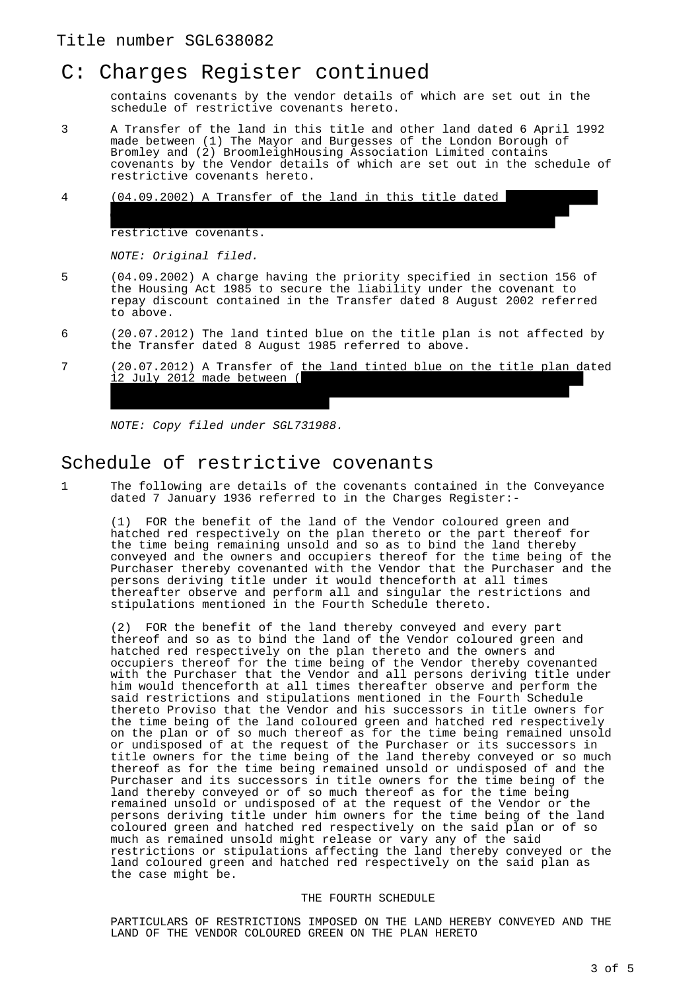## C: Charges Register continued

contains covenants by the vendor details of which are set out in the schedule of restrictive covenants hereto.

3 A Transfer of the land in this title and other land dated 6 April 1992 made between (1) The Mayor and Burgesses of the London Borough of Bromley and (2) BroomleighHousing Association Limited contains covenants by the Vendor details of which are set out in the schedule of restrictive covenants hereto.

made between (1) The Mayor and Burgesses of The London Borough of Bromley and (2) Anthony Leon Carew and Lisa Mary Carew contains

4 (04.09.2002) A Transfer of the land in this title dated

restrictive covenants.

NOTE: Original filed.

- 5 (04.09.2002) A charge having the priority specified in section 156 of the Housing Act 1985 to secure the liability under the covenant to repay discount contained in the Transfer dated 8 August 2002 referred to above.
- 6 (20.07.2012) The land tinted blue on the title plan is not affected by the Transfer dated 8 August 1985 referred to above.
- 7 (20.07.2012) A Transfer of the land tinted blue on the title plan dated 12 July 2012 made between ( Borough of Bromley and (2) Anthony Leon Carew and Lisa Mary Carew

NOTE: Copy filed under SGL731988.

contains restrictive covenants.

## Schedule of restrictive covenants

1 The following are details of the covenants contained in the Conveyance dated 7 January 1936 referred to in the Charges Register:-

(1) FOR the benefit of the land of the Vendor coloured green and hatched red respectively on the plan thereto or the part thereof for the time being remaining unsold and so as to bind the land thereby conveyed and the owners and occupiers thereof for the time being of the Purchaser thereby covenanted with the Vendor that the Purchaser and the persons deriving title under it would thenceforth at all times thereafter observe and perform all and singular the restrictions and stipulations mentioned in the Fourth Schedule thereto.

(2) FOR the benefit of the land thereby conveyed and every part thereof and so as to bind the land of the Vendor coloured green and hatched red respectively on the plan thereto and the owners and occupiers thereof for the time being of the Vendor thereby covenanted with the Purchaser that the Vendor and all persons deriving title under him would thenceforth at all times thereafter observe and perform the said restrictions and stipulations mentioned in the Fourth Schedule thereto Proviso that the Vendor and his successors in title owners for the time being of the land coloured green and hatched red respectively on the plan or of so much thereof as for the time being remained unsold or undisposed of at the request of the Purchaser or its successors in title owners for the time being of the land thereby conveyed or so much thereof as for the time being remained unsold or undisposed of and the Purchaser and its successors in title owners for the time being of the land thereby conveyed or of so much thereof as for the time being remained unsold or undisposed of at the request of the Vendor or the persons deriving title under him owners for the time being of the land coloured green and hatched red respectively on the said plan or of so much as remained unsold might release or vary any of the said restrictions or stipulations affecting the land thereby conveyed or the land coloured green and hatched red respectively on the said plan as the case might be.

#### THE FOURTH SCHEDULE

PARTICULARS OF RESTRICTIONS IMPOSED ON THE LAND HEREBY CONVEYED AND THE LAND OF THE VENDOR COLOURED GREEN ON THE PLAN HERETO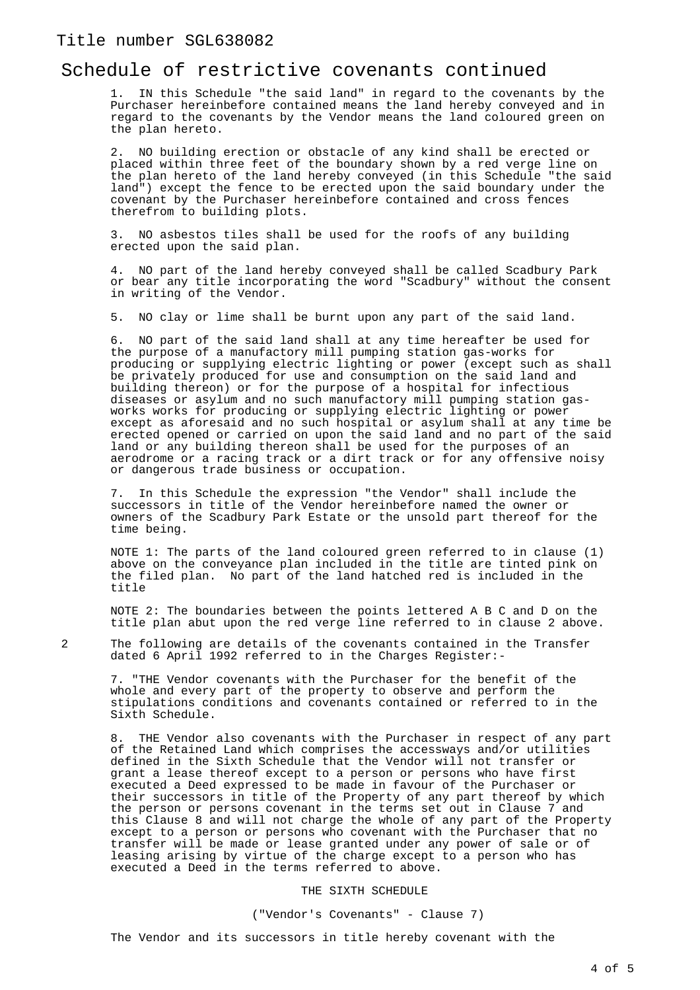### Title number SGL638082

### Schedule of restrictive covenants continued

1. IN this Schedule "the said land" in regard to the covenants by the Purchaser hereinbefore contained means the land hereby conveyed and in regard to the covenants by the Vendor means the land coloured green on the plan hereto.

2. NO building erection or obstacle of any kind shall be erected or placed within three feet of the boundary shown by a red verge line on the plan hereto of the land hereby conveyed (in this Schedule "the said land") except the fence to be erected upon the said boundary under the covenant by the Purchaser hereinbefore contained and cross fences therefrom to building plots.

3. NO asbestos tiles shall be used for the roofs of any building erected upon the said plan.

4. NO part of the land hereby conveyed shall be called Scadbury Park or bear any title incorporating the word "Scadbury" without the consent in writing of the Vendor.

5. NO clay or lime shall be burnt upon any part of the said land.

6. NO part of the said land shall at any time hereafter be used for the purpose of a manufactory mill pumping station gas-works for producing or supplying electric lighting or power (except such as shall be privately produced for use and consumption on the said land and building thereon) or for the purpose of a hospital for infectious diseases or asylum and no such manufactory mill pumping station gasworks works for producing or supplying electric lighting or power except as aforesaid and no such hospital or asylum shall at any time be erected opened or carried on upon the said land and no part of the said land or any building thereon shall be used for the purposes of an aerodrome or a racing track or a dirt track or for any offensive noisy or dangerous trade business or occupation.

7. In this Schedule the expression "the Vendor" shall include the successors in title of the Vendor hereinbefore named the owner or owners of the Scadbury Park Estate or the unsold part thereof for the time being.

NOTE 1: The parts of the land coloured green referred to in clause (1) above on the conveyance plan included in the title are tinted pink on the filed plan. No part of the land hatched red is included in the title

NOTE 2: The boundaries between the points lettered A B C and D on the title plan abut upon the red verge line referred to in clause 2 above.

2 The following are details of the covenants contained in the Transfer dated 6 April 1992 referred to in the Charges Register:-

7. "THE Vendor covenants with the Purchaser for the benefit of the whole and every part of the property to observe and perform the stipulations conditions and covenants contained or referred to in the Sixth Schedule.

THE Vendor also covenants with the Purchaser in respect of any part of the Retained Land which comprises the accessways and/or utilities defined in the Sixth Schedule that the Vendor will not transfer or grant a lease thereof except to a person or persons who have first executed a Deed expressed to be made in favour of the Purchaser or their successors in title of the Property of any part thereof by which the person or persons covenant in the terms set out in Clause 7 and this Clause 8 and will not charge the whole of any part of the Property except to a person or persons who covenant with the Purchaser that no transfer will be made or lease granted under any power of sale or of leasing arising by virtue of the charge except to a person who has executed a Deed in the terms referred to above.

#### THE SIXTH SCHEDULE

("Vendor's Covenants" - Clause 7)

The Vendor and its successors in title hereby covenant with the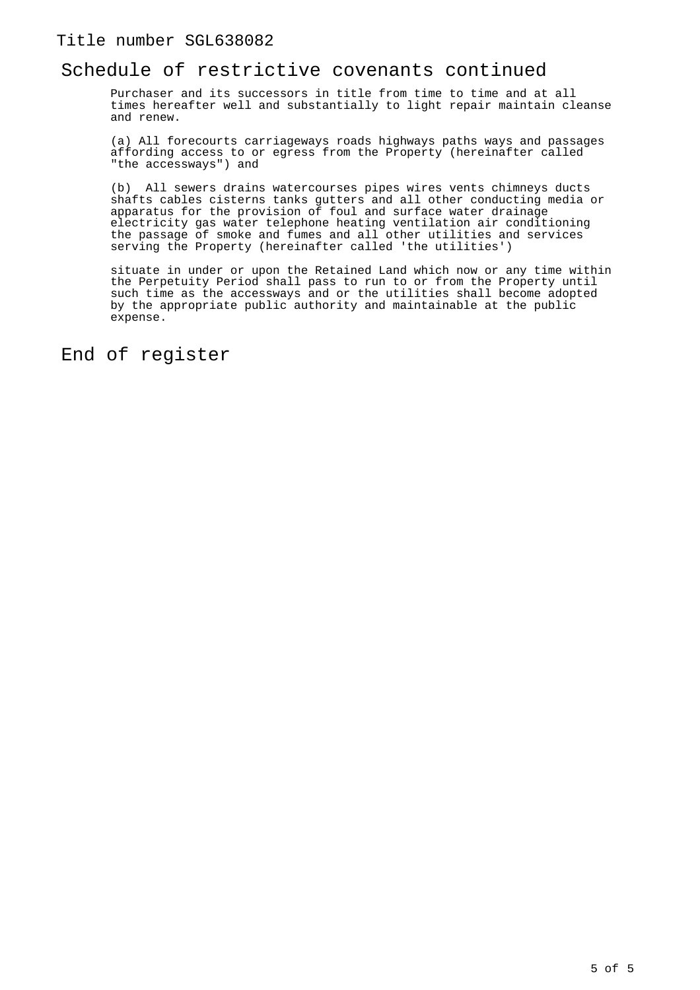### Title number SGL638082

## Schedule of restrictive covenants continued

Purchaser and its successors in title from time to time and at all times hereafter well and substantially to light repair maintain cleanse and renew.

(a) All forecourts carriageways roads highways paths ways and passages affording access to or egress from the Property (hereinafter called "the accessways") and

(b) All sewers drains watercourses pipes wires vents chimneys ducts shafts cables cisterns tanks gutters and all other conducting media or apparatus for the provision of foul and surface water drainage electricity gas water telephone heating ventilation air conditioning the passage of smoke and fumes and all other utilities and services serving the Property (hereinafter called 'the utilities')

situate in under or upon the Retained Land which now or any time within the Perpetuity Period shall pass to run to or from the Property until such time as the accessways and or the utilities shall become adopted by the appropriate public authority and maintainable at the public expense.

End of register